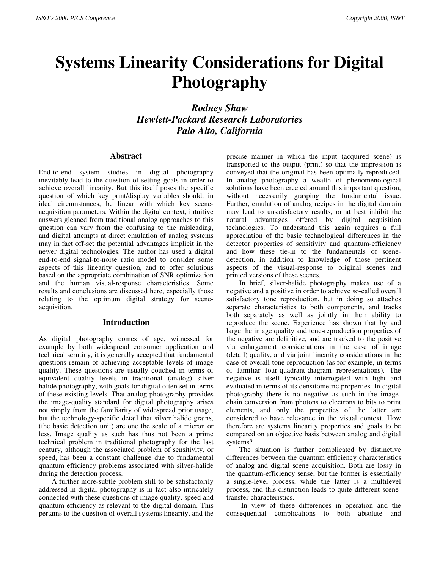# **Systems Linearity Considerations for Digital Photography**

*Rodney Shaw Hewlett-Packard Research Laboratories Palo Alto, California*

# **Abstract**

End-to-end system studies in digital photography inevitably lead to the question of setting goals in order to achieve overall linearity. But this itself poses the specific question of which key print/display variables should, in ideal circumstances, be linear with which key sceneacquisition parameters. Within the digital context, intuitive answers gleaned from traditional analog approaches to this question can vary from the confusing to the misleading, and digital attempts at direct emulation of analog systems may in fact off-set the potential advantages implicit in the newer digital technologies. The author has used a digital end-to-end signal-to-noise ratio model to consider some aspects of this linearity question, and to offer solutions based on the appropriate combination of SNR optimization and the human visual-response characteristics. Some results and conclusions are discussed here, especially those relating to the optimum digital strategy for sceneacquisition.

# **Introduction**

As digital photography comes of age, witnessed for example by both widespread consumer application and technical scrutiny, it is generally accepted that fundamental questions remain of achieving acceptable levels of image quality. These questions are usually couched in terms of equivalent quality levels in traditional (analog) silver halide photography, with goals for digital often set in terms of these existing levels. That analog photography provides the image-quality standard for digital photography arises not simply from the familiarity of widespread prior usage, but the technology-specific detail that silver halide grains, (the basic detection unit) are one the scale of a micron or less. Image quality as such has thus not been a prime technical problem in traditional photography for the last century, although the associated problem of sensitivity, or speed, has been a constant challenge due to fundamental quantum efficiency problems associated with silver-halide during the detection process.

A further more-subtle problem still to be satisfactorily addressed in digital photography is in fact also intricately connected with these questions of image quality, speed and quantum efficiency as relevant to the digital domain. This pertains to the question of overall systems linearity, and the precise manner in which the input (acquired scene) is transported to the output (print) so that the impression is conveyed that the original has been optimally reproduced. In analog photography a wealth of phenomenological solutions have been erected around this important question, without necessarily grasping the fundamental issue. Further, emulation of analog recipes in the digital domain may lead to unsatisfactory results, or at best inhibit the natural advantages offered by digital acquisition technologies. To understand this again requires a full appreciation of the basic technological differences in the detector properties of sensitivity and quantum-efficiency and how these tie-in to the fundamentals of scenedetection, in addition to knowledge of those pertinent aspects of the visual-response to original scenes and printed versions of these scenes.

In brief, silver-halide photography makes use of a negative and a positive in order to achieve so-called overall satisfactory tone reproduction, but in doing so attaches separate characteristics to both components, and tracks both separately as well as jointly in their ability to reproduce the scene. Experience has shown that by and large the image quality and tone-reproduction properties of the negative are definitive, and are tracked to the positive via enlargement considerations in the case of image (detail) quality, and via joint linearity considerations in the case of overall tone reproduction (as for example, in terms of familiar four-quadrant-diagram representations). The negative is itself typically interrogated with light and evaluated in terms of its densitometric properties. In digital photography there is no negative as such in the imagechain conversion from photons to electrons to bits to print elements, and only the properties of the latter are considered to have relevance in the visual context. How therefore are systems linearity properties and goals to be compared on an objective basis between analog and digital systems?

The situation is further complicated by distinctive differences between the quantum efficiency characteristics of analog and digital scene acquisition. Both are lossy in the quantum-efficiency sense, but the former is essentially a single-level process, while the latter is a multilevel process, and this distinction leads to quite different scenetransfer characteristics.

 In view of these differences in operation and the consequential complications to both absolute and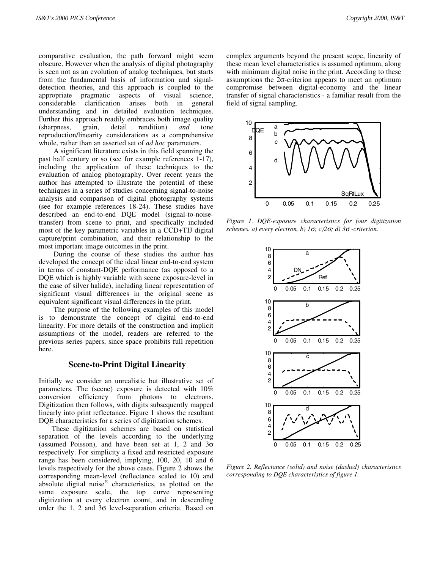comparative evaluation, the path forward might seem obscure. However when the analysis of digital photography is seen not as an evolution of analog techniques, but starts from the fundamental basis of information and signaldetection theories, and this approach is coupled to the appropriate pragmatic aspects of visual science, considerable clarification arises both in general understanding and in detailed evaluation techniques. Further this approach readily embraces both image quality (sharpness, grain, detail rendition) *and* tone reproduction/linearity considerations as a comprehensive whole, rather than an asserted set of *ad hoc* parameters.

 A significant literature exists in this field spanning the past half century or so (see for example references 1-17), including the application of these techniques to the evaluation of analog photography. Over recent years the author has attempted to illustrate the potential of these techniques in a series of studies concerning signal-to-noise analysis and comparison of digital photography systems (see for example references 18-24). These studies have described an end-to-end DQE model (signal-to-noisetransfer) from scene to print, and specifically included most of the key parametric variables in a CCD+TIJ digital capture/print combination, and their relationship to the most important image outcomes in the print.

 During the course of these studies the author has developed the concept of the ideal linear end-to-end system in terms of constant-DQE performance (as opposed to a DQE which is highly variable with scene exposure-level in the case of silver halide), including linear representation of significant visual differences in the original scene as equivalent significant visual differences in the print.

 The purpose of the following examples of this model is to demonstrate the concept of digital end-to-end linearity. For more details of the construction and implicit assumptions of the model, readers are referred to the previous series papers, since space prohibits full repetition here.

# **Scene-to-Print Digital Linearity**

Initially we consider an unrealistic but illustrative set of parameters. The (scene) exposure is detected with 10% conversion efficiency from photons to electrons. Digitization then follows, with digits subsequently mapped linearly into print reflectance. Figure 1 shows the resultant DQE characteristics for a series of digitization schemes.

These digitization schemes are based on statistical separation of the levels according to the underlying (assumed Poisson), and have been set at 1, 2 and  $3\sigma$ respectively. For simplicity a fixed and restricted exposure range has been considered, implying, 100, 20, 10 and 6 levels respectively for the above cases. Figure 2 shows the corresponding mean-level (reflectance scaled to 10) and absolute digital noise<sup>30</sup> characteristics, as plotted on the same exposure scale, the top curve representing digitization at every electron count, and in descending order the 1, 2 and 3σ level-separation criteria. Based on

complex arguments beyond the present scope, linearity of these mean level characteristics is assumed optimum, along with minimum digital noise in the print. According to these assumptions the 2σ-criterion appears to meet an optimum compromise between digital-economy and the linear transfer of signal characteristics - a familiar result from the field of signal sampling.



*Figure 1. DQE-exposure characteristics for four digitization schemes. a) every electron, b) 1*σ*; c)2*σ*; d) 3*σ *-criterion.*



*Figure 2. Reflectance (solid) and noise (dashed) characteristics corresponding to DQE characteristics of figure 1.*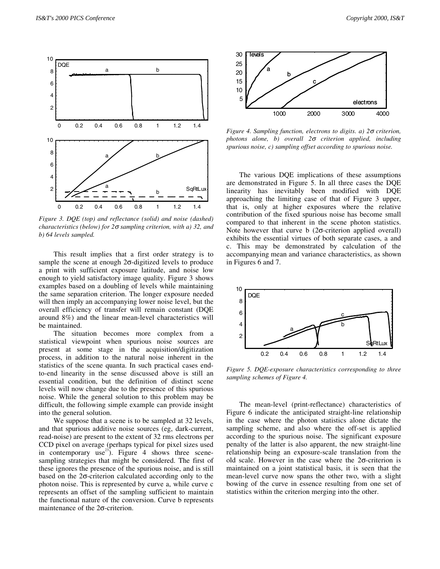

*Figure 3. DQE (top) and reflectance (solid) and noise (dashed) characteristics (below) for 2*σ *sampling criterion, with a) 32, and b) 64 levels sampled.*

 This result implies that a first order strategy is to sample the scene at enough 2σ-digitized levels to produce a print with sufficient exposure latitude, and noise low enough to yield satisfactory image quality. Figure 3 shows examples based on a doubling of levels while maintaining the same separation criterion. The longer exposure needed will then imply an accompanying lower noise level, but the overall efficiency of transfer will remain constant (DQE around 8%) and the linear mean-level characteristics will be maintained.

 The situation becomes more complex from a statistical viewpoint when spurious noise sources are present at some stage in the acquisition/digitization process, in addition to the natural noise inherent in the statistics of the scene quanta. In such practical cases endto-end linearity in the sense discussed above is still an essential condition, but the definition of distinct scene levels will now change due to the presence of this spurious noise. While the general solution to this problem may be difficult, the following simple example can provide insight into the general solution.

 We suppose that a scene is to be sampled at 32 levels, and that spurious additive noise sources (eg, dark-current, read-noise) are present to the extent of 32 rms electrons per CCD pixel on average (perhaps typical for pixel sizes used in contemporary use<sup>23</sup>). Figure 4 shows three scenesampling strategies that might be considered. The first of these ignores the presence of the spurious noise, and is still based on the 2σ-criterion calculated according only to the photon noise. This is represented by curve a, while curve c represents an offset of the sampling sufficient to maintain the functional nature of the conversion. Curve b represents maintenance of the 2σ-criterion.



*Figure 4. Sampling function, electrons to digits. a) 2*σ *criterion, photons alone, b) overall 2*σ *criterion applied, including spurious noise, c) sampling offset according to spurious noise.*

The various DQE implications of these assumptions are demonstrated in Figure 5. In all three cases the DQE linearity has inevitably been modified with DQE approaching the limiting case of that of Figure 3 upper, that is, only at higher exposures where the relative contribution of the fixed spurious noise has become small compared to that inherent in the scene photon statistics. Note however that curve b (2σ-criterion applied overall) exhibits the essential virtues of both separate cases, a and c. This may be demonstrated by calculation of the accompanying mean and variance characteristics, as shown in Figures 6 and 7.



*Figure 5. DQE-exposure characteristics corresponding to three sampling schemes of Figure 4.*

The mean-level (print-reflectance) characteristics of Figure 6 indicate the anticipated straight-line relationship in the case where the photon statistics alone dictate the sampling scheme, and also where the off-set is applied according to the spurious noise. The significant exposure penalty of the latter is also apparent, the new straight-line relationship being an exposure-scale translation from the old scale. However in the case where the 2σ-criterion is maintained on a joint statistical basis, it is seen that the mean-level curve now spans the other two, with a slight bowing of the curve in essence resulting from one set of statistics within the criterion merging into the other.